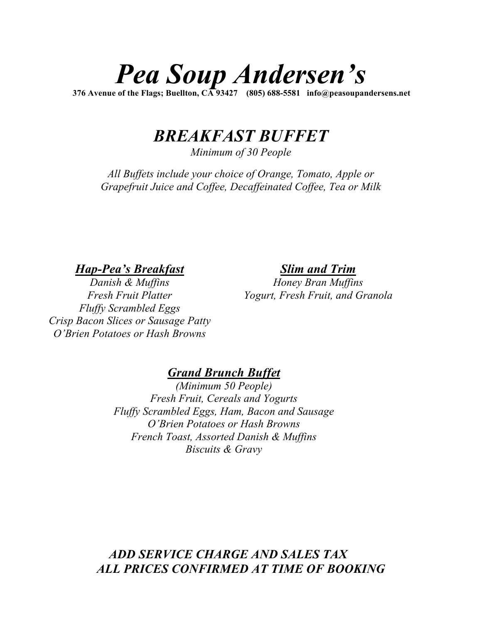# *Pea Soup Andersen's*

**376 Avenue of the Flags; Buellton, CA 93427 (805) 688-5581 info@peasoupandersens.net**

## *BREAKFAST BUFFET*

*Minimum of 30 People*

*All Buffets include your choice of Orange, Tomato, Apple or Grapefruit Juice and Coffee, Decaffeinated Coffee, Tea or Milk*

*Hap-Pea's Breakfast*

*Slim and Trim*

*Danish & Muffins Fresh Fruit Platter Fluffy Scrambled Eggs Crisp Bacon Slices or Sausage Patty O'Brien Potatoes or Hash Browns*

*Honey Bran Muffins Yogurt, Fresh Fruit, and Granola*

#### *Grand Brunch Buffet*

*(Minimum 50 People) Fresh Fruit, Cereals and Yogurts Fluffy Scrambled Eggs, Ham, Bacon and Sausage O'Brien Potatoes or Hash Browns French Toast, Assorted Danish & Muffins Biscuits & Gravy*

#### *ADD SERVICE CHARGE AND SALES TAX ALL PRICES CONFIRMED AT TIME OF BOOKING*